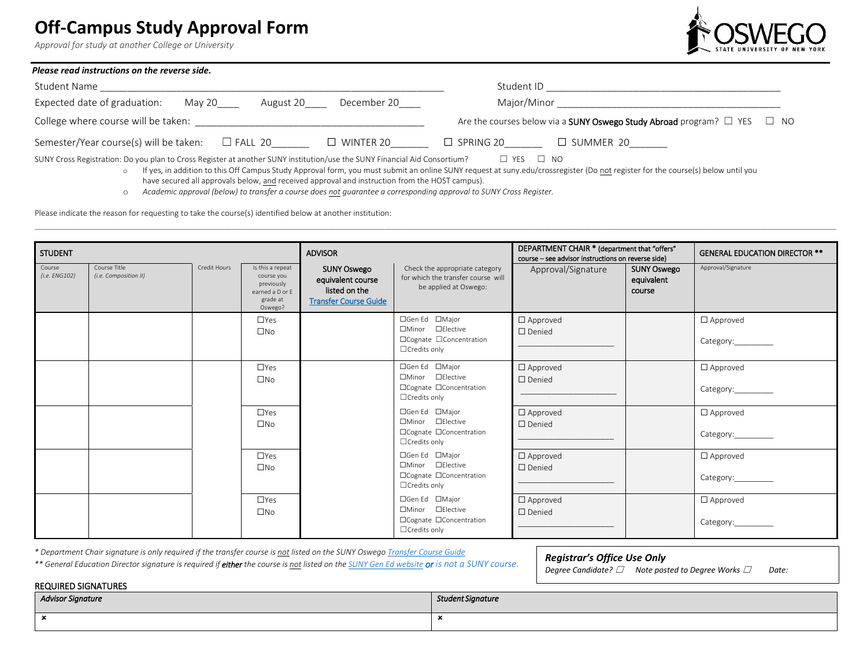# **Off-Campus Study Approval Form**

*Approval for study at another College or University*

REQUIRED SIGNATURES



| Please read instructions on the reverse side.                                                                             |                                                                                           |  |  |  |  |
|---------------------------------------------------------------------------------------------------------------------------|-------------------------------------------------------------------------------------------|--|--|--|--|
| Student Name                                                                                                              | Student ID                                                                                |  |  |  |  |
| Expected date of graduation:<br>December 20<br>May 20<br>August 20                                                        | Major/Minor                                                                               |  |  |  |  |
| College where course will be taken:                                                                                       | Are the courses below via a <b>SUNY Oswego Study Abroad</b> program? $\Box$ YES $\Box$ NO |  |  |  |  |
| Semester/Year course(s) will be taken:<br>$\Box$ WINTER 20<br>$\Box$ FALL 20                                              | $\square$ SPRING 20<br>$\Box$ summer 20                                                   |  |  |  |  |
| SUNY Cross Registration: Do you plan to Cross Register at another SUNY institution/use the SUNY Financial Aid Consortium? | - NO<br>⊿ YES                                                                             |  |  |  |  |

o If yes, in addition to this Off Campus Study Approval form, you must submit an online SUNY request at suny.edu/crossregister (Do not register for the course(s) below until you have secured all approvals below, and received approval and instruction from the HOST campus).

o *Academic approval (below) to transfer a course does not guarantee a corresponding approval to SUNY Cross Register.* 

Please indicate the reason for requesting to take the course(s) identified below at another institution:

| <b>STUDENT</b>          |                                       |              | <b>ADVISOR</b>                                                                         |                                                                                          | DEPARTMENT CHAIR * (department that "offers"<br>course - see advisor instructions on reverse side) |                                        | <b>GENERAL EDUCATION DIRECTOR **</b>       |                                           |
|-------------------------|---------------------------------------|--------------|----------------------------------------------------------------------------------------|------------------------------------------------------------------------------------------|----------------------------------------------------------------------------------------------------|----------------------------------------|--------------------------------------------|-------------------------------------------|
| Course<br>(i.e. ENG102) | Course Title<br>(i.e. Composition II) | Credit Hours | Is this a repeat<br>course you<br>previously<br>earned a D or E<br>grade at<br>Oswego? | <b>SUNY Oswego</b><br>equivalent course<br>listed on the<br><b>Transfer Course Guide</b> | Check the appropriate category<br>for which the transfer course will<br>be applied at Oswego:      | Approval/Signature                     | <b>SUNY Oswego</b><br>equivalent<br>course | Approval/Signature                        |
|                         |                                       |              | $\Box$ Yes<br>$\square$ No                                                             |                                                                                          | □Gen Ed □Major<br>□Minor □Elective<br>□Cognate □Concentration<br>$\Box$ Credits only               | $\Box$ Approved<br>$\Box$ Denied       |                                            | $\Box$ Approved<br>Category:_________     |
|                         |                                       |              | $\Box$ Yes<br>$\square$ No                                                             |                                                                                          | □Gen Ed □Major<br>□Minor □Elective<br>□Cognate □Concentration<br>$\Box$ Credits only               | $\Box$ Approved<br>$\Box$ Denied       |                                            | $\Box$ Approved<br>Category:_________     |
|                         |                                       |              | $\Box$ Yes<br>$\square$ No                                                             |                                                                                          | □Gen Ed □Major<br>□Minor □Elective<br>□Cognate □Concentration<br>$\Box$ Credits only               | $\square$ Approved<br>$\square$ Denied |                                            | $\square$ Approved<br>Category:__________ |
|                         |                                       |              | $\Box$ Yes<br>$\square$ No                                                             |                                                                                          | □Gen Ed □Major<br>□Minor □Elective<br>□Cognate □Concentration<br>□ Credits only                    | $\Box$ Approved<br>$\square$ Denied    |                                            | $\square$ Approved<br>Category:           |
|                         |                                       |              | $\Box$ Yes<br>$\square$ No                                                             |                                                                                          | □Gen Ed □Major<br>□Minor □Elective<br>□Cognate □Concentration<br>$\Box$ Credits only               | $\square$ Approved<br>□ Denied         |                                            | $\square$ Approved                        |

*\* Department Chair signature is only required if the transfer course is not listed on the SUNY Osweg[o Transfer Course Guide](https://banner-ssb8.oswego.edu:8443/ords/banprod/bwzktart.P_Web_Artic_Guide)*

*\*\* General Education Director signature is required if either the course is not listed on th[e SUNY Gen Ed website](https://system.suny.edu/academic-affairs/acaproplan/general-education/general-education-dashboards/) or is not a SUNY course.*

*Registrar's Office Use Only*

*Degree Candidate?* ☐ *Note posted to Degree Works* ☐ *Date:*

| <b>INLUMINED SIGNATIONES</b> |                   |  |  |  |
|------------------------------|-------------------|--|--|--|
| <b>Advisor Signature</b>     | Student Signature |  |  |  |
|                              |                   |  |  |  |
|                              |                   |  |  |  |
|                              |                   |  |  |  |